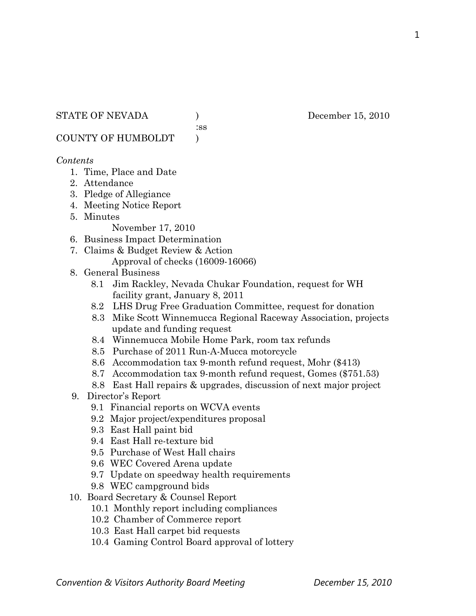#### STATE OF NEVADA (a) December 15, 2010

:ss

COUNTY OF HUMBOLDT )

#### *Contents*

- 1. Time, Place and Date
- 2. Attendance
- 3. Pledge of Allegiance
- 4. Meeting Notice Report
- 5. Minutes

November 17, 2010

- 6. Business Impact Determination
- 7. Claims & Budget Review & Action Approval of checks (16009-16066)
- 8. General Business
	- 8.1 Jim Rackley, Nevada Chukar Foundation, request for WH facility grant, January 8, 2011
	- 8.2 LHS Drug Free Graduation Committee, request for donation
	- 8.3 Mike Scott Winnemucca Regional Raceway Association, projects update and funding request
	- 8.4 Winnemucca Mobile Home Park, room tax refunds
	- 8.5 Purchase of 2011 Run-A-Mucca motorcycle
	- 8.6 Accommodation tax 9-month refund request, Mohr (\$413)
	- 8.7 Accommodation tax 9-month refund request, Gomes (\$751.53)
	- 8.8 East Hall repairs & upgrades, discussion of next major project
- 9. Director's Report
	- 9.1 Financial reports on WCVA events
	- 9.2 Major project/expenditures proposal
	- 9.3 East Hall paint bid
	- 9.4 East Hall re-texture bid
	- 9.5 Purchase of West Hall chairs
	- 9.6 WEC Covered Arena update
	- 9.7 Update on speedway health requirements
	- 9.8 WEC campground bids
- 10. Board Secretary & Counsel Report
	- 10.1 Monthly report including compliances
	- 10.2 Chamber of Commerce report
	- 10.3 East Hall carpet bid requests
	- 10.4 Gaming Control Board approval of lottery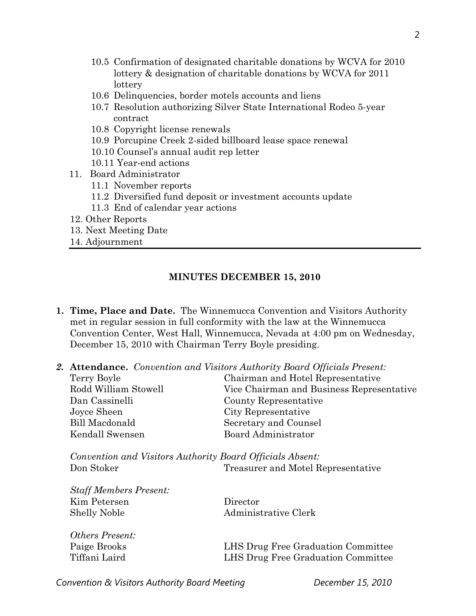- 10.5 Confirmation of designated charitable donations by WCVA for 2010 lottery & designation of charitable donations by WCVA for 2011 lottery
- 10.6 Delinquencies, border motels accounts and liens
- 10.7 Resolution authorizing Silver State International Rodeo 5-year contract
- 10.8 Copyright license renewals
- 10.9 Porcupine Creek 2-sided billboard lease space renewal
- 10.10 Counsel's annual audit rep letter
- 10.11 Year-end actions
- 11. Board Administrator
	- 11.1 November reports
	- 11.2 Diversified fund deposit or investment accounts update
	- 11.3 End of calendar year actions
- 12. Other Reports
- 13. Next Meeting Date
- 14. Adjournment

#### **MINUTES DECEMBER 15, 2010**

- **1. Time, Place and Date.** The Winnemucca Convention and Visitors Authority met in regular session in full conformity with the law at the Winnemucca Convention Center, West Hall, Winnemucca, Nevada at 4:00 pm on Wednesday, December 15, 2010 with Chairman Terry Boyle presiding.
- *2.* **Attendance.** *Convention and Visitors Authority Board Officials Present:*

|  | Terry Boyle                                                                                                   | Chairman and Hotel Representative         |  |  |
|--|---------------------------------------------------------------------------------------------------------------|-------------------------------------------|--|--|
|  | Rodd William Stowell                                                                                          | Vice Chairman and Business Representative |  |  |
|  | Dan Cassinelli                                                                                                | County Representative                     |  |  |
|  | Joyce Sheen                                                                                                   | City Representative                       |  |  |
|  | Bill Macdonald                                                                                                | Secretary and Counsel                     |  |  |
|  | Kendall Swensen                                                                                               | <b>Board Administrator</b>                |  |  |
|  | Convention and Visitors Authority Board Officials Absent:<br>Don Stoker<br>Treasurer and Motel Representative |                                           |  |  |
|  | <b>Staff Members Present:</b>                                                                                 |                                           |  |  |
|  | Kim Petersen                                                                                                  | Director                                  |  |  |
|  | <b>Shelly Noble</b>                                                                                           | Administrative Clerk                      |  |  |
|  |                                                                                                               |                                           |  |  |
|  | <i><b>Others Present:</b></i>                                                                                 |                                           |  |  |
|  | Paige Brooks                                                                                                  | LHS Drug Free Graduation Committee        |  |  |
|  | Tiffani Laird                                                                                                 | LHS Drug Free Graduation Committee        |  |  |
|  |                                                                                                               |                                           |  |  |

**Convention & Visitors Authority Board Meeting Convention & Visitors Authority Board Meeting Convention December 15, 2010**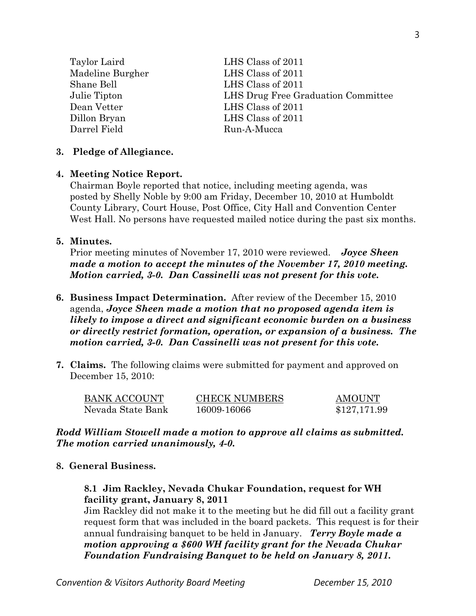| Taylor Laird     | LHS Class of 2011                  |
|------------------|------------------------------------|
| Madeline Burgher | LHS Class of 2011                  |
| Shane Bell       | LHS Class of 2011                  |
| Julie Tipton     | LHS Drug Free Graduation Committee |
| Dean Vetter      | LHS Class of 2011                  |
| Dillon Bryan     | LHS Class of 2011                  |
| Darrel Field     | Run-A-Mucca                        |
|                  |                                    |

#### **3. Pledge of Allegiance.**

#### **4. Meeting Notice Report.**

Chairman Boyle reported that notice, including meeting agenda, was posted by Shelly Noble by 9:00 am Friday, December 10, 2010 at Humboldt County Library, Court House, Post Office, City Hall and Convention Center West Hall. No persons have requested mailed notice during the past six months.

#### **5. Minutes.**

Prior meeting minutes of November 17, 2010 were reviewed. *Joyce Sheen made a motion to accept the minutes of the November 17, 2010 meeting. Motion carried, 3-0. Dan Cassinelli was not present for this vote.* 

# **6. Business Impact Determination.** After review of the December 15, 2010 agenda, *Joyce Sheen made a motion that no proposed agenda item is likely to impose a direct and significant economic burden on a business or directly restrict formation, operation, or expansion of a business. The motion carried, 3-0. Dan Cassinelli was not present for this vote.*

**7. Claims.** The following claims were submitted for payment and approved on December 15, 2010:

| <b>BANK ACCOUNT</b> | <b>CHECK NUMBERS</b> | <b>AMOUNT</b> |
|---------------------|----------------------|---------------|
| Nevada State Bank   | 16009-16066          | \$127,171.99  |

### *Rodd William Stowell made a motion to approve all claims as submitted. The motion carried unanimously, 4-0.*

### **8. General Business.**

# **8.1 Jim Rackley, Nevada Chukar Foundation, request for WH facility grant, January 8, 2011**

Jim Rackley did not make it to the meeting but he did fill out a facility grant request form that was included in the board packets. This request is for their annual fundraising banquet to be held in January. *Terry Boyle made a motion approving a \$600 WH facility grant for the Nevada Chukar Foundation Fundraising Banquet to be held on January 8, 2011.*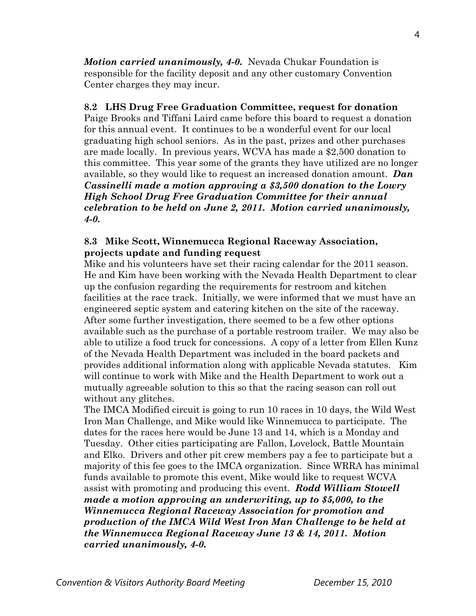*Motion carried unanimously, 4-0.* Nevada Chukar Foundation is responsible for the facility deposit and any other customary Convention Center charges they may incur.

#### **8.2 LHS Drug Free Graduation Committee, request for donation**

Paige Brooks and Tiffani Laird came before this board to request a donation for this annual event. It continues to be a wonderful event for our local graduating high school seniors. As in the past, prizes and other purchases are made locally. In previous years, WCVA has made a \$2,500 donation to this committee. This year some of the grants they have utilized are no longer available, so they would like to request an increased donation amount. *Dan Cassinelli made a motion approving a \$3,500 donation to the Lowry High School Drug Free Graduation Committee for their annual celebration to be held on June 2, 2011. Motion carried unanimously, 4-0.* 

### **8.3 Mike Scott, Winnemucca Regional Raceway Association, projects update and funding request**

Mike and his volunteers have set their racing calendar for the 2011 season. He and Kim have been working with the Nevada Health Department to clear up the confusion regarding the requirements for restroom and kitchen facilities at the race track. Initially, we were informed that we must have an engineered septic system and catering kitchen on the site of the raceway. After some further investigation, there seemed to be a few other options available such as the purchase of a portable restroom trailer. We may also be able to utilize a food truck for concessions. A copy of a letter from Ellen Kunz of the Nevada Health Department was included in the board packets and provides additional information along with applicable Nevada statutes. Kim will continue to work with Mike and the Health Department to work out a mutually agreeable solution to this so that the racing season can roll out without any glitches.

The IMCA Modified circuit is going to run 10 races in 10 days, the Wild West Iron Man Challenge, and Mike would like Winnemucca to participate. The dates for the races here would be June 13 and 14, which is a Monday and Tuesday. Other cities participating are Fallon, Lovelock, Battle Mountain and Elko. Drivers and other pit crew members pay a fee to participate but a majority of this fee goes to the IMCA organization. Since WRRA has minimal funds available to promote this event, Mike would like to request WCVA assist with promoting and producing this event. *Rodd William Stowell made a motion approving an underwriting, up to \$5,000, to the Winnemucca Regional Raceway Association for promotion and production of the IMCA Wild West Iron Man Challenge to be held at the Winnemucca Regional Raceway June 13 & 14, 2011. Motion carried unanimously, 4-0.*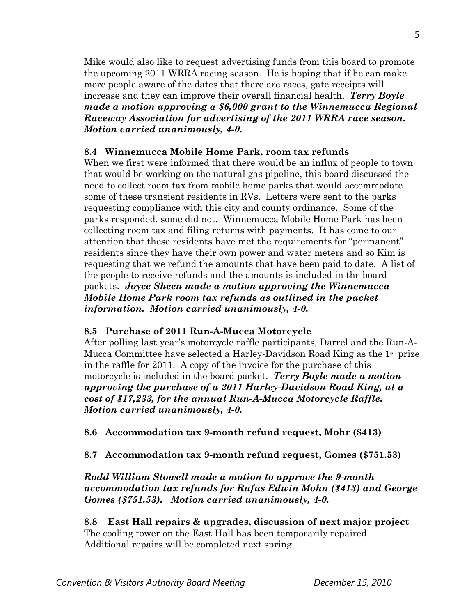Mike would also like to request advertising funds from this board to promote the upcoming 2011 WRRA racing season. He is hoping that if he can make more people aware of the dates that there are races, gate receipts will increase and they can improve their overall financial health. *Terry Boyle made a motion approving a \$6,000 grant to the Winnemucca Regional Raceway Association for advertising of the 2011 WRRA race season. Motion carried unanimously, 4-0.* 

# **8.4 Winnemucca Mobile Home Park, room tax refunds**

When we first were informed that there would be an influx of people to town that would be working on the natural gas pipeline, this board discussed the need to collect room tax from mobile home parks that would accommodate some of these transient residents in RVs. Letters were sent to the parks requesting compliance with this city and county ordinance. Some of the parks responded, some did not. Winnemucca Mobile Home Park has been collecting room tax and filing returns with payments. It has come to our attention that these residents have met the requirements for "permanent" residents since they have their own power and water meters and so Kim is requesting that we refund the amounts that have been paid to date. A list of the people to receive refunds and the amounts is included in the board packets. *Joyce Sheen made a motion approving the Winnemucca Mobile Home Park room tax refunds as outlined in the packet information. Motion carried unanimously, 4-0.* 

# **8.5 Purchase of 2011 Run-A-Mucca Motorcycle**

After polling last year's motorcycle raffle participants, Darrel and the Run-A-Mucca Committee have selected a Harley-Davidson Road King as the 1st prize in the raffle for 2011. A copy of the invoice for the purchase of this motorcycle is included in the board packet. *Terry Boyle made a motion approving the purchase of a 2011 Harley-Davidson Road King, at a cost of \$17,233, for the annual Run-A-Mucca Motorcycle Raffle. Motion carried unanimously, 4-0.* 

**8.6 Accommodation tax 9-month refund request, Mohr (\$413)** 

**8.7 Accommodation tax 9-month refund request, Gomes (\$751.53)** 

# *Rodd William Stowell made a motion to approve the 9-month accommodation tax refunds for Rufus Edwin Mohn (\$413) and George Gomes (\$751.53). Motion carried unanimously, 4-0.*

**8.8 East Hall repairs & upgrades, discussion of next major project**  The cooling tower on the East Hall has been temporarily repaired. Additional repairs will be completed next spring.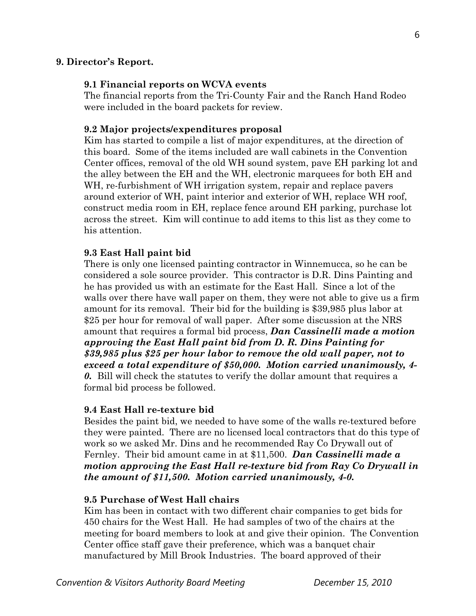#### **9. Director's Report.**

#### **9.1 Financial reports on WCVA events**

The financial reports from the Tri-County Fair and the Ranch Hand Rodeo were included in the board packets for review.

#### **9.2 Major projects/expenditures proposal**

Kim has started to compile a list of major expenditures, at the direction of this board. Some of the items included are wall cabinets in the Convention Center offices, removal of the old WH sound system, pave EH parking lot and the alley between the EH and the WH, electronic marquees for both EH and WH, re-furbishment of WH irrigation system, repair and replace pavers around exterior of WH, paint interior and exterior of WH, replace WH roof, construct media room in EH, replace fence around EH parking, purchase lot across the street. Kim will continue to add items to this list as they come to his attention.

#### **9.3 East Hall paint bid**

There is only one licensed painting contractor in Winnemucca, so he can be considered a sole source provider. This contractor is D.R. Dins Painting and he has provided us with an estimate for the East Hall. Since a lot of the walls over there have wall paper on them, they were not able to give us a firm amount for its removal. Their bid for the building is \$39,985 plus labor at \$25 per hour for removal of wall paper. After some discussion at the NRS amount that requires a formal bid process, *Dan Cassinelli made a motion approving the East Hall paint bid from D. R. Dins Painting for \$39,985 plus \$25 per hour labor to remove the old wall paper, not to exceed a total expenditure of \$50,000. Motion carried unanimously, 4- 0.* Bill will check the statutes to verify the dollar amount that requires a formal bid process be followed.

#### **9.4 East Hall re-texture bid**

Besides the paint bid, we needed to have some of the walls re-textured before they were painted. There are no licensed local contractors that do this type of work so we asked Mr. Dins and he recommended Ray Co Drywall out of Fernley. Their bid amount came in at \$11,500. *Dan Cassinelli made a motion approving the East Hall re-texture bid from Ray Co Drywall in the amount of \$11,500. Motion carried unanimously, 4-0.* 

#### **9.5 Purchase of West Hall chairs**

Kim has been in contact with two different chair companies to get bids for 450 chairs for the West Hall. He had samples of two of the chairs at the meeting for board members to look at and give their opinion. The Convention Center office staff gave their preference, which was a banquet chair manufactured by Mill Brook Industries. The board approved of their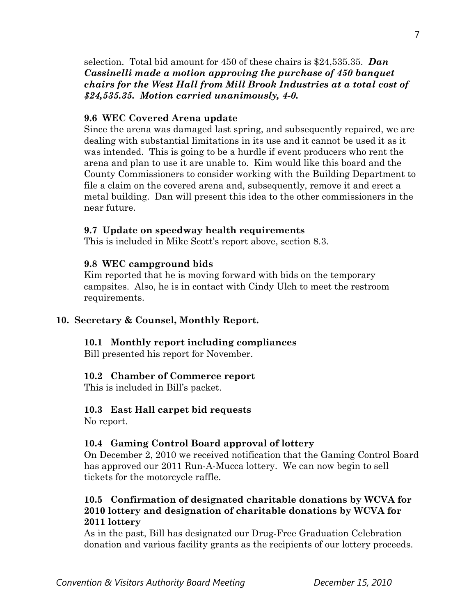selection. Total bid amount for 450 of these chairs is \$24,535.35. *Dan Cassinelli made a motion approving the purchase of 450 banquet chairs for the West Hall from Mill Brook Industries at a total cost of \$24,535.35. Motion carried unanimously, 4-0.* 

#### **9.6 WEC Covered Arena update**

Since the arena was damaged last spring, and subsequently repaired, we are dealing with substantial limitations in its use and it cannot be used it as it was intended. This is going to be a hurdle if event producers who rent the arena and plan to use it are unable to. Kim would like this board and the County Commissioners to consider working with the Building Department to file a claim on the covered arena and, subsequently, remove it and erect a metal building. Dan will present this idea to the other commissioners in the near future.

#### **9.7 Update on speedway health requirements**

This is included in Mike Scott's report above, section 8.3.

#### **9.8 WEC campground bids**

Kim reported that he is moving forward with bids on the temporary campsites. Also, he is in contact with Cindy Ulch to meet the restroom requirements.

#### **10. Secretary & Counsel, Monthly Report.**

#### **10.1 Monthly report including compliances**

Bill presented his report for November.

#### **10.2 Chamber of Commerce report**

This is included in Bill's packet.

### **10.3 East Hall carpet bid requests**

No report.

### **10.4 Gaming Control Board approval of lottery**

On December 2, 2010 we received notification that the Gaming Control Board has approved our 2011 Run-A-Mucca lottery. We can now begin to sell tickets for the motorcycle raffle.

# **10.5 Confirmation of designated charitable donations by WCVA for 2010 lottery and designation of charitable donations by WCVA for 2011 lottery**

As in the past, Bill has designated our Drug-Free Graduation Celebration donation and various facility grants as the recipients of our lottery proceeds.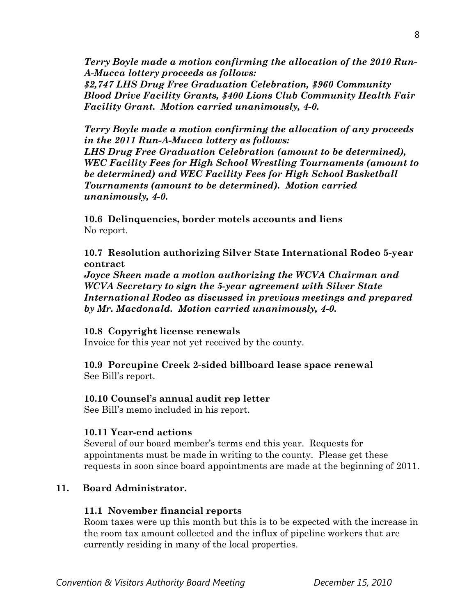*Terry Boyle made a motion confirming the allocation of the 2010 Run-A-Mucca lottery proceeds as follows: \$2,747 LHS Drug Free Graduation Celebration, \$960 Community Blood Drive Facility Grants, \$400 Lions Club Community Health Fair* 

*Facility Grant. Motion carried unanimously, 4-0.* 

*Terry Boyle made a motion confirming the allocation of any proceeds in the 2011 Run-A-Mucca lottery as follows: LHS Drug Free Graduation Celebration (amount to be determined), WEC Facility Fees for High School Wrestling Tournaments (amount to be determined) and WEC Facility Fees for High School Basketball Tournaments (amount to be determined). Motion carried unanimously, 4-0.* 

**10.6 Delinquencies, border motels accounts and liens**  No report.

# **10.7 Resolution authorizing Silver State International Rodeo 5-year contract**

*Joyce Sheen made a motion authorizing the WCVA Chairman and WCVA Secretary to sign the 5-year agreement with Silver State International Rodeo as discussed in previous meetings and prepared by Mr. Macdonald. Motion carried unanimously, 4-0.* 

# **10.8 Copyright license renewals**

Invoice for this year not yet received by the county.

# **10.9 Porcupine Creek 2-sided billboard lease space renewal**

See Bill's report.

# **10.10 Counsel's annual audit rep letter**

See Bill's memo included in his report.

# **10.11 Year-end actions**

Several of our board member's terms end this year. Requests for appointments must be made in writing to the county. Please get these requests in soon since board appointments are made at the beginning of 2011.

# **11. Board Administrator.**

# **11.1 November financial reports**

Room taxes were up this month but this is to be expected with the increase in the room tax amount collected and the influx of pipeline workers that are currently residing in many of the local properties.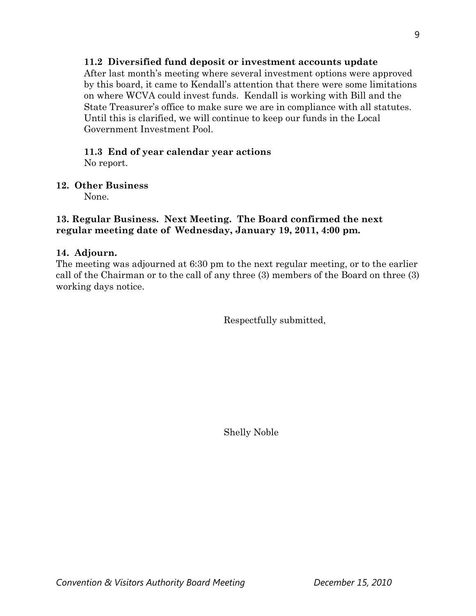# **11.2 Diversified fund deposit or investment accounts update**

After last month's meeting where several investment options were approved by this board, it came to Kendall's attention that there were some limitations on where WCVA could invest funds. Kendall is working with Bill and the State Treasurer's office to make sure we are in compliance with all statutes. Until this is clarified, we will continue to keep our funds in the Local Government Investment Pool.

# **11.3 End of year calendar year actions**

No report.

# **12. Other Business**

None.

# **13. Regular Business. Next Meeting. The Board confirmed the next regular meeting date of Wednesday, January 19, 2011, 4:00 pm.**

# **14. Adjourn.**

The meeting was adjourned at 6:30 pm to the next regular meeting, or to the earlier call of the Chairman or to the call of any three (3) members of the Board on three (3) working days notice.

Respectfully submitted,

Shelly Noble